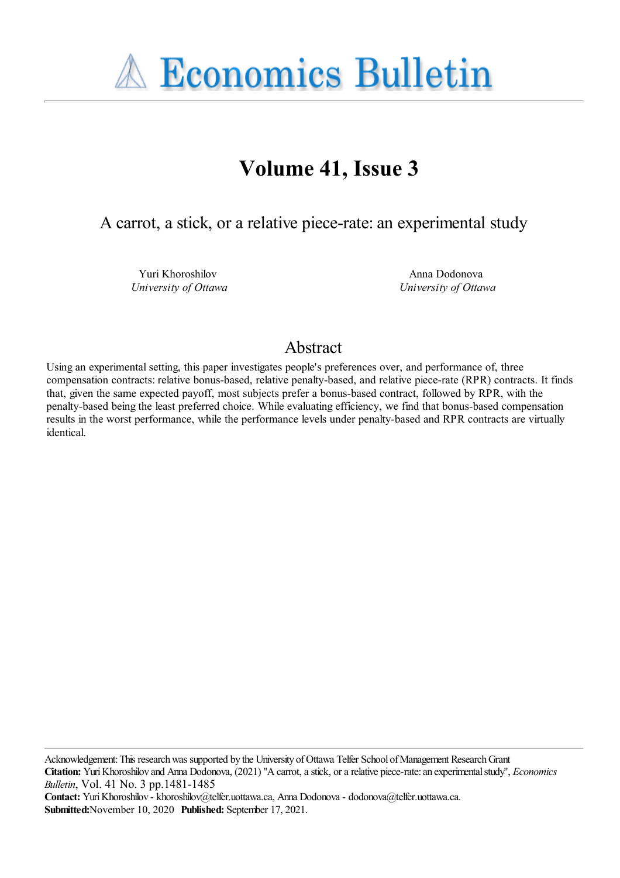

# **Volume 41, Issue 3**

A carrot, a stick, or a relative piece-rate: an experimental study

Yuri Khoroshilov *University of Ottawa*

Anna Dodonova *University of Ottawa*

# Abstract

Using an experimental setting, this paper investigates people's preferences over, and performance of, three compensation contracts: relative bonus-based, relative penalty-based, and relative piece-rate (RPR) contracts. It finds that, given the same expected payoff, most subjects prefer a bonus-based contract, followed by RPR, with the penalty-based being the least preferred choice. While evaluating efficiency, we find that bonus-based compensation results in the worst performance, while the performance levels under penalty-based and RPR contracts are virtually identical.

Acknowledgement: This research was supported by the University of Ottawa Telfer School of Management Research Grant **Citation:** YuriKhoroshilov and Anna Dodonova, (2021) ''Acarrot,astick, orarelative piece-rate:an experimentalstudy'', *Economics Bulletin*, Vol. 41 No. 3 pp.1481-1485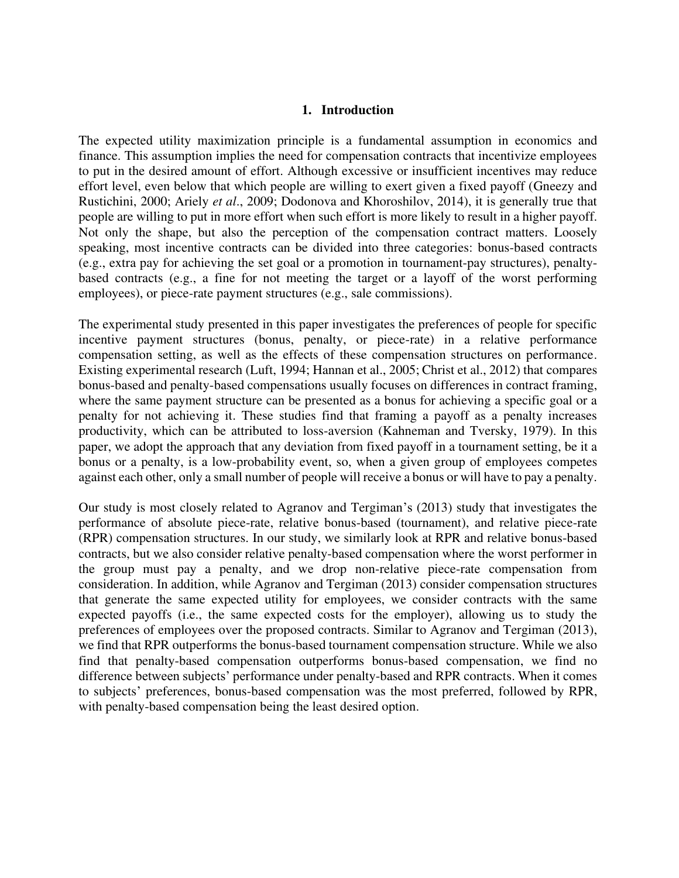#### **1. Introduction**

The expected utility maximization principle is a fundamental assumption in economics and finance. This assumption implies the need for compensation contracts that incentivize employees to put in the desired amount of effort. Although excessive or insufficient incentives may reduce effort level, even below that which people are willing to exert given a fixed payoff (Gneezy and Rustichini, 2000; Ariely *et al*., 2009; Dodonova and Khoroshilov, 2014), it is generally true that people are willing to put in more effort when such effort is more likely to result in a higher payoff. Not only the shape, but also the perception of the compensation contract matters. Loosely speaking, most incentive contracts can be divided into three categories: bonus-based contracts (e.g., extra pay for achieving the set goal or a promotion in tournament-pay structures), penaltybased contracts (e.g., a fine for not meeting the target or a layoff of the worst performing employees), or piece-rate payment structures (e.g., sale commissions).

The experimental study presented in this paper investigates the preferences of people for specific incentive payment structures (bonus, penalty, or piece-rate) in a relative performance compensation setting, as well as the effects of these compensation structures on performance. Existing experimental research (Luft, 1994; Hannan et al., 2005; Christ et al., 2012) that compares bonus-based and penalty-based compensations usually focuses on differences in contract framing, where the same payment structure can be presented as a bonus for achieving a specific goal or a penalty for not achieving it. These studies find that framing a payoff as a penalty increases productivity, which can be attributed to loss-aversion (Kahneman and Tversky, 1979). In this paper, we adopt the approach that any deviation from fixed payoff in a tournament setting, be it a bonus or a penalty, is a low-probability event, so, when a given group of employees competes against each other, only a small number of people will receive a bonus or will have to pay a penalty.

Our study is most closely related to Agranov and Tergiman's (2013) study that investigates the performance of absolute piece-rate, relative bonus-based (tournament), and relative piece-rate (RPR) compensation structures. In our study, we similarly look at RPR and relative bonus-based contracts, but we also consider relative penalty-based compensation where the worst performer in the group must pay a penalty, and we drop non-relative piece-rate compensation from consideration. In addition, while Agranov and Tergiman (2013) consider compensation structures that generate the same expected utility for employees, we consider contracts with the same expected payoffs (i.e., the same expected costs for the employer), allowing us to study the preferences of employees over the proposed contracts. Similar to Agranov and Tergiman (2013), we find that RPR outperforms the bonus-based tournament compensation structure. While we also find that penalty-based compensation outperforms bonus-based compensation, we find no difference between subjects' performance under penalty-based and RPR contracts. When it comes to subjects' preferences, bonus-based compensation was the most preferred, followed by RPR, with penalty-based compensation being the least desired option.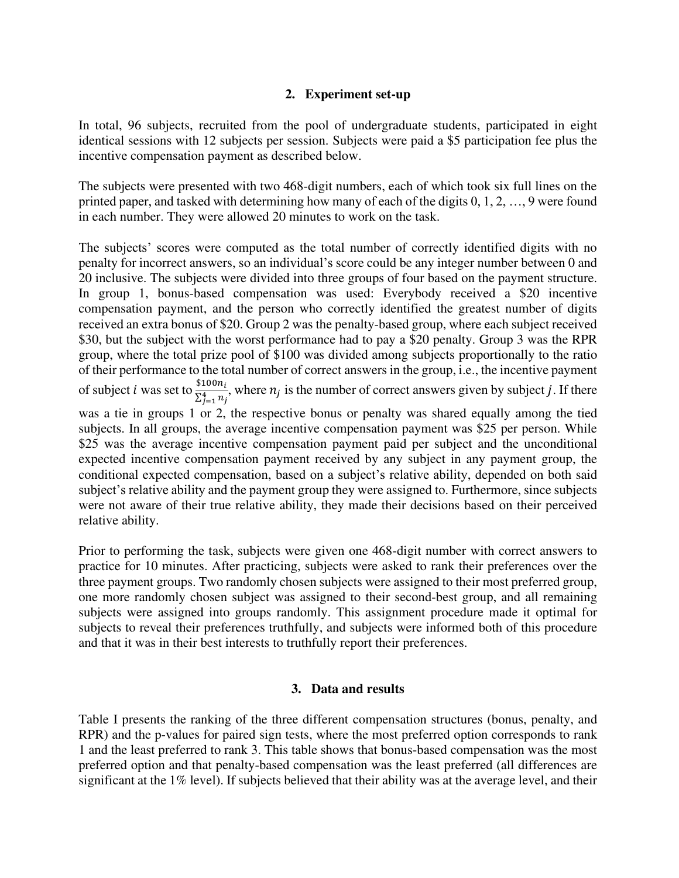# **2. Experiment set-up**

In total, 96 subjects, recruited from the pool of undergraduate students, participated in eight identical sessions with 12 subjects per session. Subjects were paid a \$5 participation fee plus the incentive compensation payment as described below.

The subjects were presented with two 468-digit numbers, each of which took six full lines on the printed paper, and tasked with determining how many of each of the digits 0, 1, 2, …, 9 were found in each number. They were allowed 20 minutes to work on the task.

The subjects' scores were computed as the total number of correctly identified digits with no penalty for incorrect answers, so an individual's score could be any integer number between 0 and 20 inclusive. The subjects were divided into three groups of four based on the payment structure. In group 1, bonus-based compensation was used: Everybody received a \$20 incentive compensation payment, and the person who correctly identified the greatest number of digits received an extra bonus of \$20. Group 2 was the penalty-based group, where each subject received \$30, but the subject with the worst performance had to pay a \$20 penalty. Group 3 was the RPR group, where the total prize pool of \$100 was divided among subjects proportionally to the ratio of their performance to the total number of correct answers in the group, i.e., the incentive payment of subject *i* was set to  $\frac{$100n_i}{\sum_{i=1}^{4} n_i}$  $\frac{\sum_{j=1}^{4} n_j}{\sum_{j=1}^{4} n_j}$ , where  $n_j$  is the number of correct answers given by subject *j*. If there was a tie in groups 1 or 2, the respective bonus or penalty was shared equally among the tied subjects. In all groups, the average incentive compensation payment was \$25 per person. While \$25 was the average incentive compensation payment paid per subject and the unconditional expected incentive compensation payment received by any subject in any payment group, the conditional expected compensation, based on a subject's relative ability, depended on both said subject's relative ability and the payment group they were assigned to. Furthermore, since subjects were not aware of their true relative ability, they made their decisions based on their perceived relative ability.

Prior to performing the task, subjects were given one 468-digit number with correct answers to practice for 10 minutes. After practicing, subjects were asked to rank their preferences over the three payment groups. Two randomly chosen subjects were assigned to their most preferred group, one more randomly chosen subject was assigned to their second-best group, and all remaining subjects were assigned into groups randomly. This assignment procedure made it optimal for subjects to reveal their preferences truthfully, and subjects were informed both of this procedure and that it was in their best interests to truthfully report their preferences.

#### **3. Data and results**

Table I presents the ranking of the three different compensation structures (bonus, penalty, and RPR) and the p-values for paired sign tests, where the most preferred option corresponds to rank 1 and the least preferred to rank 3. This table shows that bonus-based compensation was the most preferred option and that penalty-based compensation was the least preferred (all differences are significant at the 1% level). If subjects believed that their ability was at the average level, and their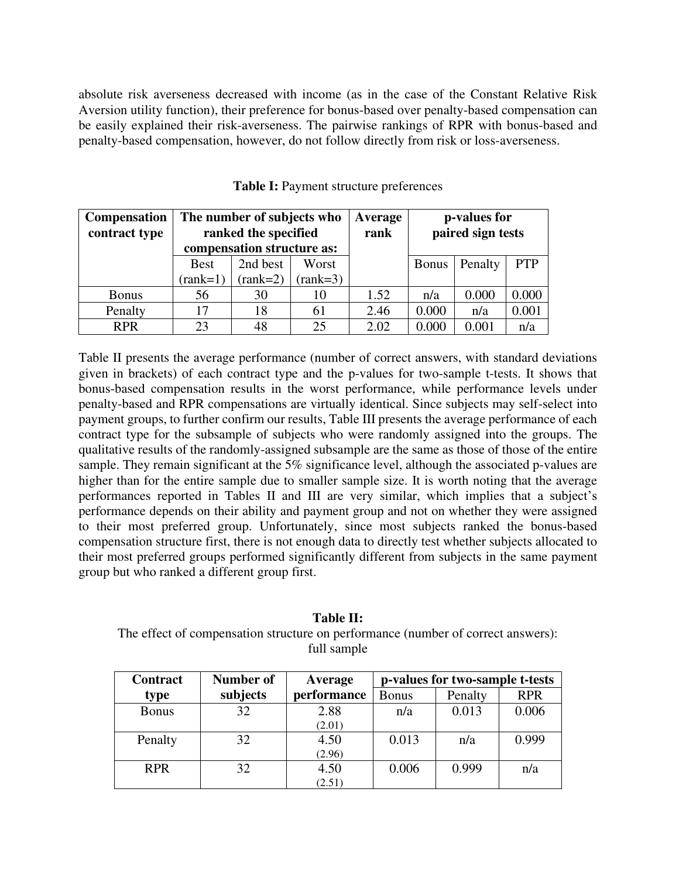absolute risk averseness decreased with income (as in the case of the Constant Relative Risk Aversion utility function), their preference for bonus-based over penalty-based compensation can be easily explained their risk-averseness. The pairwise rankings of RPR with bonus-based and penalty-based compensation, however, do not follow directly from risk or loss-averseness.

| <b>Compensation</b><br>contract type | The number of subjects who<br>ranked the specified |            |                  | Average<br>rank | p-values for<br>paired sign tests |         |            |
|--------------------------------------|----------------------------------------------------|------------|------------------|-----------------|-----------------------------------|---------|------------|
|                                      | compensation structure as:                         |            |                  |                 |                                   |         |            |
|                                      | <b>Best</b>                                        | 2nd best   | Worst            |                 | <b>Bonus</b>                      | Penalty | <b>PTP</b> |
|                                      | $(\text{rank}=1)$                                  | $(rank=2)$ | ${\rm rank}=3$ ) |                 |                                   |         |            |
| <b>Bonus</b>                         | 56                                                 | 30         | 10               | 1.52            | n/a                               | 0.000   | 0.000      |
| Penalty                              | 17                                                 | 18         | 61               | 2.46            | 0.000                             | n/a     | 0.001      |
| <b>RPR</b>                           | 23                                                 | 48         | 25               | 2.02            | 0.000                             | 0.001   | n/a        |

**Table I:** Payment structure preferences

Table II presents the average performance (number of correct answers, with standard deviations given in brackets) of each contract type and the p-values for two-sample t-tests. It shows that bonus-based compensation results in the worst performance, while performance levels under penalty-based and RPR compensations are virtually identical. Since subjects may self-select into payment groups, to further confirm our results, Table III presents the average performance of each contract type for the subsample of subjects who were randomly assigned into the groups. The qualitative results of the randomly-assigned subsample are the same as those of those of the entire sample. They remain significant at the 5% significance level, although the associated p-values are higher than for the entire sample due to smaller sample size. It is worth noting that the average performances reported in Tables II and III are very similar, which implies that a subject's performance depends on their ability and payment group and not on whether they were assigned to their most preferred group. Unfortunately, since most subjects ranked the bonus-based compensation structure first, there is not enough data to directly test whether subjects allocated to their most preferred groups performed significantly different from subjects in the same payment group but who ranked a different group first.

## **Table II:**  The effect of compensation structure on performance (number of correct answers): full sample

| <b>Contract</b> | Number of | Average     | p-values for two-sample t-tests |         |            |
|-----------------|-----------|-------------|---------------------------------|---------|------------|
| type            | subjects  | performance | <b>Bonus</b>                    | Penalty | <b>RPR</b> |
| <b>Bonus</b>    | 32        | 2.88        | n/a                             | 0.013   | 0.006      |
|                 |           | (2.01)      |                                 |         |            |
| Penalty         | 32        | 4.50        | 0.013                           | n/a     | 0.999      |
|                 |           | (2.96)      |                                 |         |            |
| <b>RPR</b>      | 32        | 4.50        | 0.006                           | 0.999   | n/a        |
|                 |           | (2.51)      |                                 |         |            |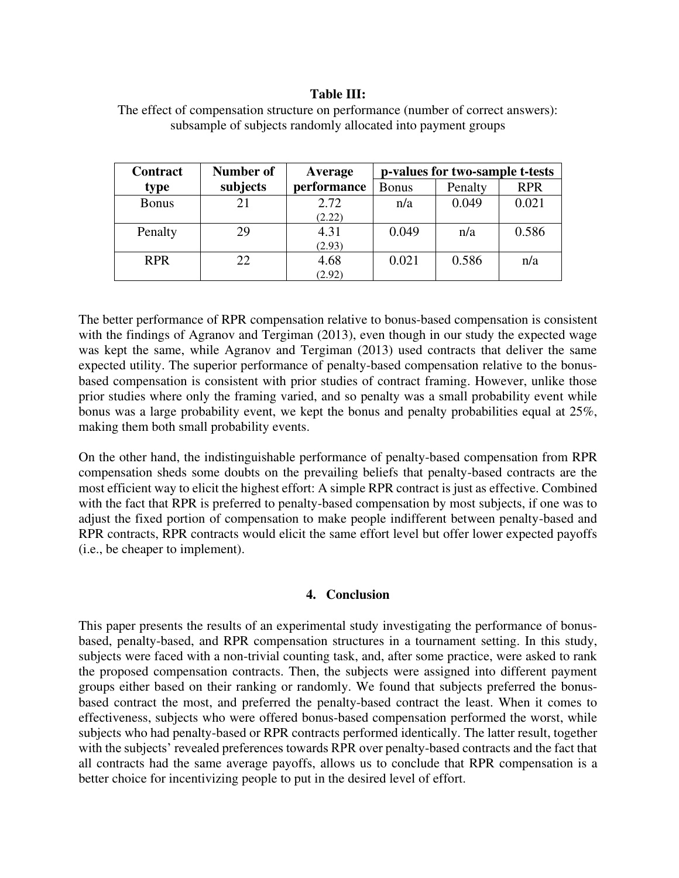# **Table III:**

| <b>Contract</b> | Number of | Average     | p-values for two-sample t-tests |         |            |
|-----------------|-----------|-------------|---------------------------------|---------|------------|
| type            | subjects  | performance | <b>Bonus</b>                    | Penalty | <b>RPR</b> |
| <b>Bonus</b>    | 21        | 2.72        | n/a                             | 0.049   | 0.021      |
|                 |           | (2.22)      |                                 |         |            |
| Penalty         | 29        | 4.31        | 0.049                           | n/a     | 0.586      |
|                 |           | (2.93)      |                                 |         |            |
| <b>RPR</b>      | 22        | 4.68        | 0.021                           | 0.586   | n/a        |
|                 |           | (2.92)      |                                 |         |            |

The effect of compensation structure on performance (number of correct answers): subsample of subjects randomly allocated into payment groups

The better performance of RPR compensation relative to bonus-based compensation is consistent with the findings of Agranov and Tergiman (2013), even though in our study the expected wage was kept the same, while Agranov and Tergiman (2013) used contracts that deliver the same expected utility. The superior performance of penalty-based compensation relative to the bonusbased compensation is consistent with prior studies of contract framing. However, unlike those prior studies where only the framing varied, and so penalty was a small probability event while bonus was a large probability event, we kept the bonus and penalty probabilities equal at 25%, making them both small probability events.

On the other hand, the indistinguishable performance of penalty-based compensation from RPR compensation sheds some doubts on the prevailing beliefs that penalty-based contracts are the most efficient way to elicit the highest effort: A simple RPR contract is just as effective. Combined with the fact that RPR is preferred to penalty-based compensation by most subjects, if one was to adjust the fixed portion of compensation to make people indifferent between penalty-based and RPR contracts, RPR contracts would elicit the same effort level but offer lower expected payoffs (i.e., be cheaper to implement).

#### **4. Conclusion**

This paper presents the results of an experimental study investigating the performance of bonusbased, penalty-based, and RPR compensation structures in a tournament setting. In this study, subjects were faced with a non-trivial counting task, and, after some practice, were asked to rank the proposed compensation contracts. Then, the subjects were assigned into different payment groups either based on their ranking or randomly. We found that subjects preferred the bonusbased contract the most, and preferred the penalty-based contract the least. When it comes to effectiveness, subjects who were offered bonus-based compensation performed the worst, while subjects who had penalty-based or RPR contracts performed identically. The latter result, together with the subjects' revealed preferences towards RPR over penalty-based contracts and the fact that all contracts had the same average payoffs, allows us to conclude that RPR compensation is a better choice for incentivizing people to put in the desired level of effort.